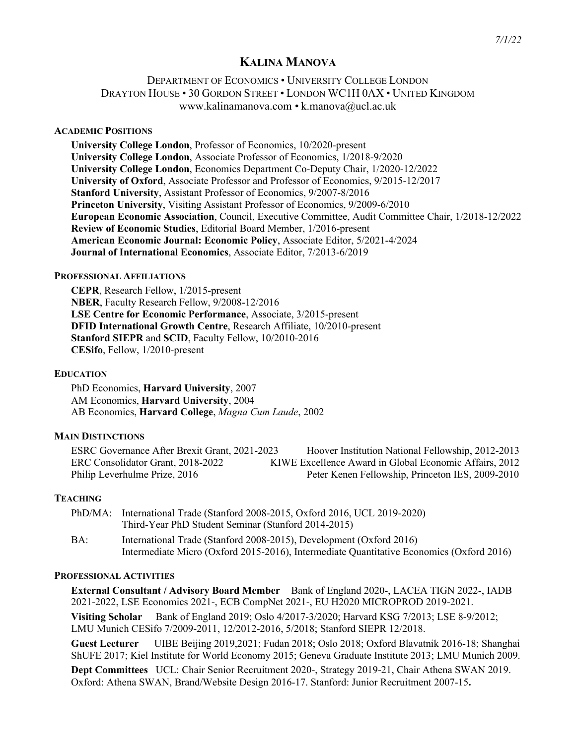# **KALINA MANOVA**

## DEPARTMENT OF ECONOMICS • UNIVERSITY COLLEGE LONDON DRAYTON HOUSE • 30 GORDON STREET • LONDON WC1H 0AX • UNITED KINGDOM www.kalinamanova.com • k.manova@ucl.ac.uk

#### **ACADEMIC POSITIONS**

**University College London**, Professor of Economics, 10/2020-present **University College London**, Associate Professor of Economics, 1/2018-9/2020 **University College London**, Economics Department Co-Deputy Chair, 1/2020-12/2022 **University of Oxford**, Associate Professor and Professor of Economics, 9/2015-12/2017 **Stanford University**, Assistant Professor of Economics, 9/2007-8/2016 **Princeton University**, Visiting Assistant Professor of Economics, 9/2009-6/2010 **European Economic Association**, Council, Executive Committee, Audit Committee Chair, 1/2018-12/2022 **Review of Economic Studies**, Editorial Board Member, 1/2016-present **American Economic Journal: Economic Policy**, Associate Editor, 5/2021-4/2024 **Journal of International Economics**, Associate Editor, 7/2013-6/2019

#### **PROFESSIONAL AFFILIATIONS**

**CEPR**, Research Fellow, 1/2015-present **NBER**, Faculty Research Fellow, 9/2008-12/2016 **LSE Centre for Economic Performance**, Associate, 3/2015-present **DFID International Growth Centre**, Research Affiliate, 10/2010-present **Stanford SIEPR** and **SCID**, Faculty Fellow, 10/2010-2016 **CESifo**, Fellow, 1/2010-present

#### **EDUCATION**

PhD Economics, **Harvard University**, 2007 AM Economics, **Harvard University**, 2004 AB Economics, **Harvard College**, *Magna Cum Laude*, 2002

#### **MAIN DISTINCTIONS**

ESRC Governance After Brexit Grant, 2021-2023 Hoover Institution National Fellowship, 2012-2013 ERC Consolidator Grant, 2018-2022 KIWE Excellence Award in Global Economic Affairs, 2012 Philip Leverhulme Prize, 2016 Peter Kenen Fellowship, Princeton IES, 2009-2010

#### **TEACHING**

|     | PhD/MA: International Trade (Stanford 2008-2015, Oxford 2016, UCL 2019-2020)             |
|-----|------------------------------------------------------------------------------------------|
|     | Third-Year PhD Student Seminar (Stanford 2014-2015)                                      |
| BA: | International Trade (Stanford 2008-2015), Development (Oxford 2016)                      |
|     | Intermediate Micro (Oxford 2015-2016), Intermediate Quantitative Economics (Oxford 2016) |

#### **PROFESSIONAL ACTIVITIES**

**External Consultant / Advisory Board Member** Bank of England 2020-, LACEA TIGN 2022-, IADB 2021-2022, LSE Economics 2021-, ECB CompNet 2021-, EU H2020 MICROPROD 2019-2021. **Visiting Scholar** Bank of England 2019; Oslo 4/2017-3/2020; Harvard KSG 7/2013; LSE 8-9/2012; LMU Munich CESifo 7/2009-2011, 12/2012-2016, 5/2018; Stanford SIEPR 12/2018.

**Guest Lecturer** UIBE Beijing 2019,2021; Fudan 2018; Oslo 2018; Oxford Blavatnik 2016-18; Shanghai ShUFE 2017; Kiel Institute for World Economy 2015; Geneva Graduate Institute 2013; LMU Munich 2009.

**Dept Committees** UCL: Chair Senior Recruitment 2020-, Strategy 2019-21, Chair Athena SWAN 2019. Oxford: Athena SWAN, Brand/Website Design 2016-17. Stanford: Junior Recruitment 2007-15**.**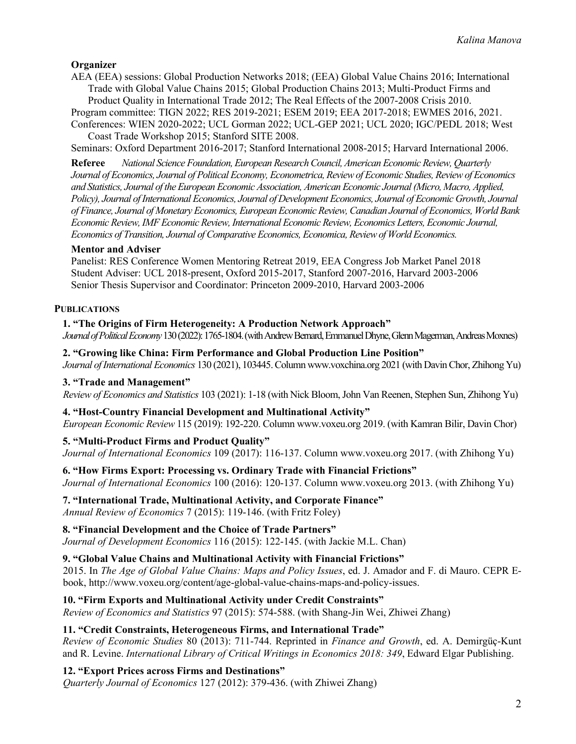## **Organizer**

AEA (EEA) sessions: Global Production Networks 2018; (EEA) Global Value Chains 2016; International Trade with Global Value Chains 2015; Global Production Chains 2013; Multi-Product Firms and Product Quality in International Trade 2012; The Real Effects of the 2007-2008 Crisis 2010.

Program committee: TIGN 2022; RES 2019-2021; ESEM 2019; EEA 2017-2018; EWMES 2016, 2021. Conferences: WIEN 2020-2022; UCL Gorman 2022; UCL-GEP 2021; UCL 2020; IGC/PEDL 2018; West Coast Trade Workshop 2015; Stanford SITE 2008.

Seminars: Oxford Department 2016-2017; Stanford International 2008-2015; Harvard International 2006.

**Referee** *National Science Foundation, European Research Council, American Economic Review, Quarterly Journal of Economics, Journal of Political Economy, Econometrica, Reviewof Economic Studies, Review of Economics and Statistics, Journal of the European Economic Association, American Economic Journal (Micro, Macro, Applied, Policy), Journal of International Economics, Journal of Development Economics, Journal of Economic Growth, Journal of Finance, Journal of Monetary Economics, European Economic Review,Canadian Journal of Economics, World Bank Economic Review, IMF Economic Review, International Economic Review, Economics Letters, Economic Journal, Economics of Transition, Journal of Comparative Economics, Economica, Review of World Economics.*

### **Mentor and Adviser**

Panelist: RES Conference Women Mentoring Retreat 2019, EEA Congress Job Market Panel 2018 Student Adviser: UCL 2018-present, Oxford 2015-2017, Stanford 2007-2016, Harvard 2003-2006 Senior Thesis Supervisor and Coordinator: Princeton 2009-2010, Harvard 2003-2006

### **PUBLICATIONS**

### **1. "The Origins of Firm Heterogeneity: A Production Network Approach"**

*Journal of Political Economy* 130 (2022): 1765-1804. (with Andrew Bernard, Emmanuel Dhyne, Glenn Magerman, Andreas Moxnes)

### **2. "Growing like China: Firm Performance and Global Production Line Position"**

*Journal of International Economics* 130 (2021), 103445.Column www.voxchina.org 2021 (with Davin Chor, Zhihong Yu)

### **3. "Trade and Management"**

*Review of Economics and Statistics* 103 (2021): 1-18 (with Nick Bloom, John Van Reenen, Stephen Sun, Zhihong Yu)

### **4. "Host-Country Financial Development and Multinational Activity"**

*European Economic Review* 115 (2019): 192-220. Column www.voxeu.org 2019. (with Kamran Bilir, Davin Chor)

## **5. "Multi-Product Firms and Product Quality"**

*Journal of International Economics* 109 (2017): 116-137. Column www.voxeu.org 2017. (with Zhihong Yu)

### **6. "How Firms Export: Processing vs. Ordinary Trade with Financial Frictions"**

*Journal of International Economics* 100 (2016): 120-137. Column www.voxeu.org 2013. (with Zhihong Yu)

### **7. "International Trade, Multinational Activity, and Corporate Finance"**

*Annual Review of Economics* 7 (2015): 119-146. (with Fritz Foley)

### **8. "Financial Development and the Choice of Trade Partners"**

*Journal of Development Economics* 116 (2015): 122-145. (with Jackie M.L. Chan)

### **9. "Global Value Chains and Multinational Activity with Financial Frictions"**

2015. In *The Age of Global Value Chains: Maps and Policy Issues*, ed. J. Amador and F. di Mauro. CEPR Ebook, http://www.voxeu.org/content/age-global-value-chains-maps-and-policy-issues.

### **10. "Firm Exports and Multinational Activity under Credit Constraints"**

*Review of Economics and Statistics* 97 (2015): 574-588. (with Shang-Jin Wei, Zhiwei Zhang)

### **11. "Credit Constraints, Heterogeneous Firms, and International Trade"**

*Review of Economic Studies* 80 (2013): 711-744. Reprinted in *Finance and Growth*, ed. A. Demirgüç-Kunt and R. Levine. *International Library of Critical Writings in Economics 2018: 349*, Edward Elgar Publishing.

### **12. "Export Prices across Firms and Destinations"**

*Quarterly Journal of Economics* 127 (2012): 379-436. (with Zhiwei Zhang)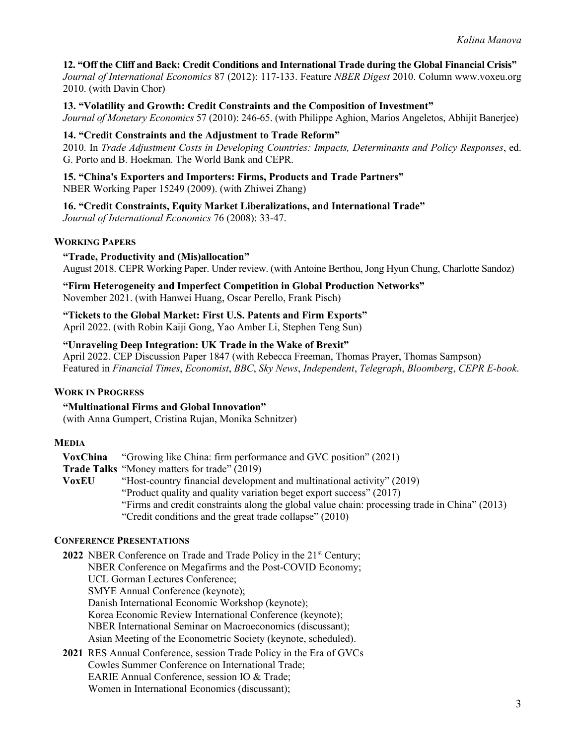### **12. "Off the Cliff and Back: Credit Conditions and International Trade during the Global Financial Crisis"**

*Journal of International Economics* 87 (2012): 117-133. Feature *NBER Digest* 2010. Column www.voxeu.org 2010. (with Davin Chor)

**13. "Volatility and Growth: Credit Constraints and the Composition of Investment"** *Journal of Monetary Economics* 57 (2010): 246-65. (with Philippe Aghion, Marios Angeletos, Abhijit Banerjee)

#### **14. "Credit Constraints and the Adjustment to Trade Reform"**

2010. In *Trade Adjustment Costs in Developing Countries: Impacts, Determinants and Policy Responses*, ed. G. Porto and B. Hoekman. The World Bank and CEPR.

**15. "China's Exporters and Importers: Firms, Products and Trade Partners"** NBER Working Paper 15249 (2009). (with Zhiwei Zhang)

### **16. "Credit Constraints, Equity Market Liberalizations, and International Trade"**

*Journal of International Economics* 76 (2008): 33-47.

### **WORKING PAPERS**

#### **"Trade, Productivity and (Mis)allocation"**

August 2018. CEPR Working Paper. Under review. (with Antoine Berthou, Jong Hyun Chung, Charlotte Sandoz)

**"Firm Heterogeneity and Imperfect Competition in Global Production Networks"** November 2021. (with Hanwei Huang, Oscar Perello, Frank Pisch)

**"Tickets to the Global Market: First U.S. Patents and Firm Exports"** April 2022. (with Robin Kaiji Gong, Yao Amber Li, Stephen Teng Sun)

#### **"Unraveling Deep Integration: UK Trade in the Wake of Brexit"**

April 2022. CEP Discussion Paper 1847 (with Rebecca Freeman, Thomas Prayer, Thomas Sampson) Featured in *Financial Times*, *Economist*, *BBC*, *Sky News*, *Independent*, *Telegraph*, *Bloomberg*, *CEPR E-book*.

### **WORK IN PROGRESS**

**"Multinational Firms and Global Innovation"** (with Anna Gumpert, Cristina Rujan, Monika Schnitzer)

#### **MEDIA**

**VoxChina** "Growing like China: firm performance and GVC position" (2021) **Trade Talks** "Money matters for trade" (2019) **VoxEU** "Host-country financial development and multinational activity" (2019) "Product quality and quality variation beget export success" (2017) "Firms and credit constraints along the global value chain: processing trade in China" (2013) "Credit conditions and the great trade collapse" (2010)

#### **CONFERENCE PRESENTATIONS**

**2022** NBER Conference on Trade and Trade Policy in the 21<sup>st</sup> Century; NBER Conference on Megafirms and the Post-COVID Economy; UCL Gorman Lectures Conference; SMYE Annual Conference (keynote); Danish International Economic Workshop (keynote); Korea Economic Review International Conference (keynote); NBER International Seminar on Macroeconomics (discussant); Asian Meeting of the Econometric Society (keynote, scheduled). **2021** RES Annual Conference, session Trade Policy in the Era of GVCs

Cowles Summer Conference on International Trade; EARIE Annual Conference, session IO & Trade; Women in International Economics (discussant);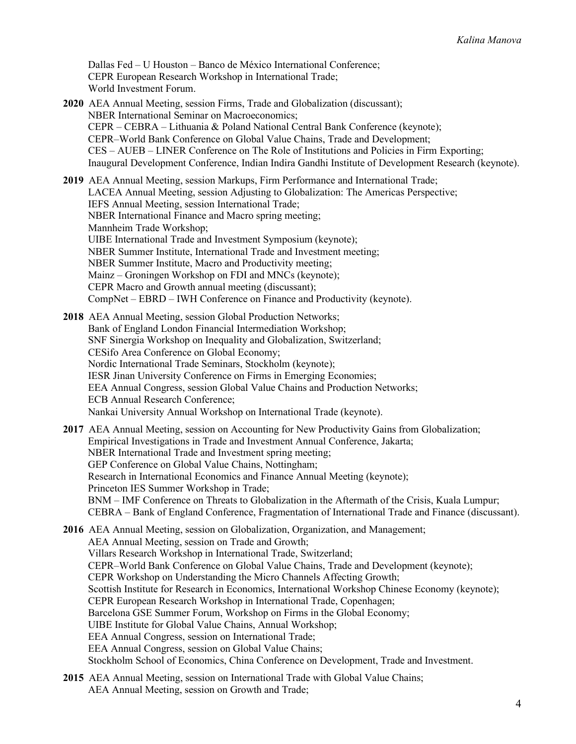Dallas Fed – U Houston – Banco de México International Conference; CEPR European Research Workshop in International Trade; World Investment Forum.

**2020** AEA Annual Meeting, session Firms, Trade and Globalization (discussant); NBER International Seminar on Macroeconomics; CEPR – CEBRA – Lithuania & Poland National Central Bank Conference (keynote); CEPR–World Bank Conference on Global Value Chains, Trade and Development; CES – AUEB – LINER Conference on The Role of Institutions and Policies in Firm Exporting; Inaugural Development Conference, Indian Indira Gandhi Institute of Development Research (keynote).

**2019** AEA Annual Meeting, session Markups, Firm Performance and International Trade; LACEA Annual Meeting, session Adjusting to Globalization: The Americas Perspective; IEFS Annual Meeting, session International Trade; NBER International Finance and Macro spring meeting; Mannheim Trade Workshop; UIBE International Trade and Investment Symposium (keynote); NBER Summer Institute, International Trade and Investment meeting; NBER Summer Institute, Macro and Productivity meeting; Mainz – Groningen Workshop on FDI and MNCs (keynote); CEPR Macro and Growth annual meeting (discussant); CompNet – EBRD – IWH Conference on Finance and Productivity (keynote).

**2018** AEA Annual Meeting, session Global Production Networks; Bank of England London Financial Intermediation Workshop; SNF Sinergia Workshop on Inequality and Globalization, Switzerland; CESifo Area Conference on Global Economy; Nordic International Trade Seminars, Stockholm (keynote); IESR Jinan University Conference on Firms in Emerging Economies; EEA Annual Congress, session Global Value Chains and Production Networks; ECB Annual Research Conference; Nankai University Annual Workshop on International Trade (keynote).

**2017** AEA Annual Meeting, session on Accounting for New Productivity Gains from Globalization; Empirical Investigations in Trade and Investment Annual Conference, Jakarta; NBER International Trade and Investment spring meeting; GEP Conference on Global Value Chains, Nottingham; Research in International Economics and Finance Annual Meeting (keynote); Princeton IES Summer Workshop in Trade; BNM – IMF Conference on Threats to Globalization in the Aftermath of the Crisis, Kuala Lumpur; CEBRA – Bank of England Conference, Fragmentation of International Trade and Finance (discussant).

**2016** AEA Annual Meeting, session on Globalization, Organization, and Management; AEA Annual Meeting, session on Trade and Growth; Villars Research Workshop in International Trade, Switzerland; CEPR–World Bank Conference on Global Value Chains, Trade and Development (keynote); CEPR Workshop on Understanding the Micro Channels Affecting Growth; Scottish Institute for Research in Economics, International Workshop Chinese Economy (keynote); CEPR European Research Workshop in International Trade, Copenhagen; Barcelona GSE Summer Forum, Workshop on Firms in the Global Economy; UIBE Institute for Global Value Chains, Annual Workshop; EEA Annual Congress, session on International Trade; EEA Annual Congress, session on Global Value Chains; Stockholm School of Economics, China Conference on Development, Trade and Investment.

**2015** AEA Annual Meeting, session on International Trade with Global Value Chains; AEA Annual Meeting, session on Growth and Trade;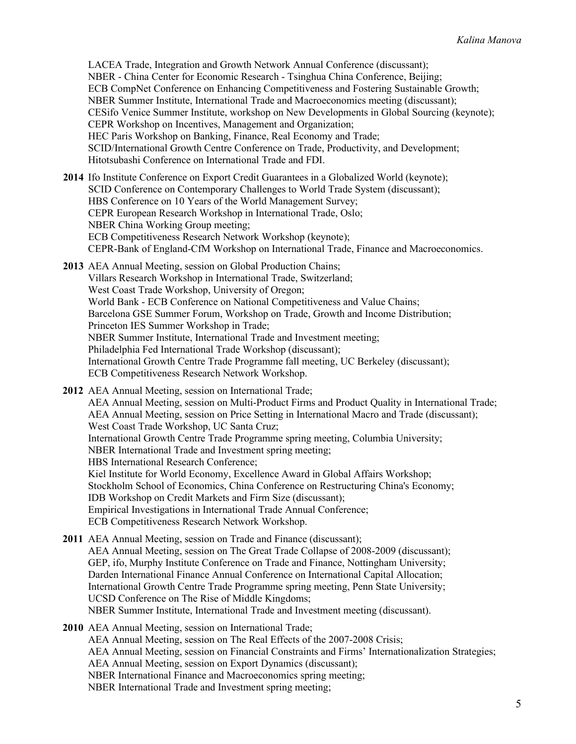LACEA Trade, Integration and Growth Network Annual Conference (discussant); NBER - China Center for Economic Research - Tsinghua China Conference, Beijing; ECB CompNet Conference on Enhancing Competitiveness and Fostering Sustainable Growth; NBER Summer Institute, International Trade and Macroeconomics meeting (discussant); CESifo Venice Summer Institute, workshop on New Developments in Global Sourcing (keynote); CEPR Workshop on Incentives, Management and Organization; HEC Paris Workshop on Banking, Finance, Real Economy and Trade; SCID/International Growth Centre Conference on Trade, Productivity, and Development; Hitotsubashi Conference on International Trade and FDI.

- **2014** Ifo Institute Conference on Export Credit Guarantees in a Globalized World (keynote); SCID Conference on Contemporary Challenges to World Trade System (discussant); HBS Conference on 10 Years of the World Management Survey; CEPR European Research Workshop in International Trade, Oslo; NBER China Working Group meeting; ECB Competitiveness Research Network Workshop (keynote); CEPR-Bank of England-CfM Workshop on International Trade, Finance and Macroeconomics.
- **2013** AEA Annual Meeting, session on Global Production Chains; Villars Research Workshop in International Trade, Switzerland; West Coast Trade Workshop, University of Oregon; World Bank - ECB Conference on National Competitiveness and Value Chains; Barcelona GSE Summer Forum, Workshop on Trade, Growth and Income Distribution; Princeton IES Summer Workshop in Trade; NBER Summer Institute, International Trade and Investment meeting; Philadelphia Fed International Trade Workshop (discussant); International Growth Centre Trade Programme fall meeting, UC Berkeley (discussant); ECB Competitiveness Research Network Workshop.
- **2012** AEA Annual Meeting, session on International Trade; AEA Annual Meeting, session on Multi-Product Firms and Product Quality in International Trade; AEA Annual Meeting, session on Price Setting in International Macro and Trade (discussant); West Coast Trade Workshop, UC Santa Cruz; International Growth Centre Trade Programme spring meeting, Columbia University; NBER International Trade and Investment spring meeting; HBS International Research Conference; Kiel Institute for World Economy, Excellence Award in Global Affairs Workshop; Stockholm School of Economics, China Conference on Restructuring China's Economy; IDB Workshop on Credit Markets and Firm Size (discussant); Empirical Investigations in International Trade Annual Conference; ECB Competitiveness Research Network Workshop.
- **2011** AEA Annual Meeting, session on Trade and Finance (discussant); AEA Annual Meeting, session on The Great Trade Collapse of 2008-2009 (discussant); GEP, ifo, Murphy Institute Conference on Trade and Finance, Nottingham University; Darden International Finance Annual Conference on International Capital Allocation; International Growth Centre Trade Programme spring meeting, Penn State University; UCSD Conference on The Rise of Middle Kingdoms; NBER Summer Institute, International Trade and Investment meeting (discussant).
- **2010** AEA Annual Meeting, session on International Trade; AEA Annual Meeting, session on The Real Effects of the 2007-2008 Crisis; AEA Annual Meeting, session on Financial Constraints and Firms' Internationalization Strategies; AEA Annual Meeting, session on Export Dynamics (discussant); NBER International Finance and Macroeconomics spring meeting; NBER International Trade and Investment spring meeting;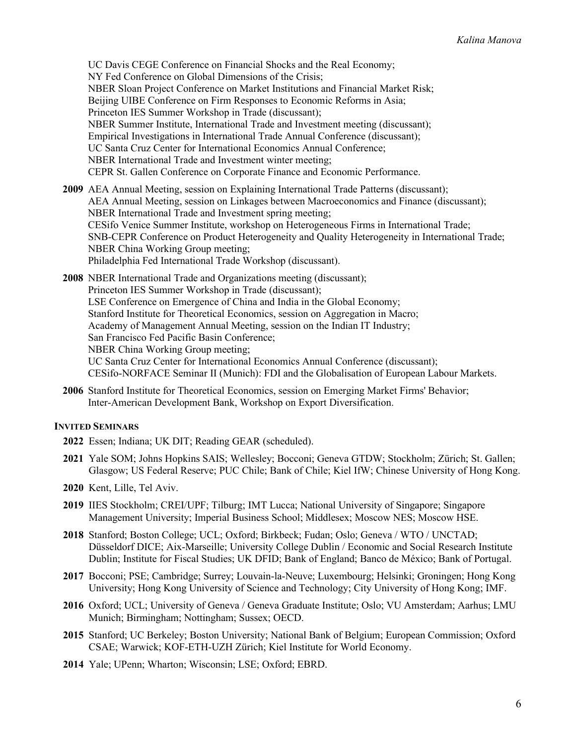UC Davis CEGE Conference on Financial Shocks and the Real Economy; NY Fed Conference on Global Dimensions of the Crisis; NBER Sloan Project Conference on Market Institutions and Financial Market Risk; Beijing UIBE Conference on Firm Responses to Economic Reforms in Asia; Princeton IES Summer Workshop in Trade (discussant); NBER Summer Institute, International Trade and Investment meeting (discussant); Empirical Investigations in International Trade Annual Conference (discussant); UC Santa Cruz Center for International Economics Annual Conference; NBER International Trade and Investment winter meeting; CEPR St. Gallen Conference on Corporate Finance and Economic Performance.

**2009** AEA Annual Meeting, session on Explaining International Trade Patterns (discussant); AEA Annual Meeting, session on Linkages between Macroeconomics and Finance (discussant); NBER International Trade and Investment spring meeting; CESifo Venice Summer Institute, workshop on Heterogeneous Firms in International Trade; SNB-CEPR Conference on Product Heterogeneity and Quality Heterogeneity in International Trade; NBER China Working Group meeting; Philadelphia Fed International Trade Workshop (discussant).

**2008** NBER International Trade and Organizations meeting (discussant); Princeton IES Summer Workshop in Trade (discussant); LSE Conference on Emergence of China and India in the Global Economy; Stanford Institute for Theoretical Economics, session on Aggregation in Macro; Academy of Management Annual Meeting, session on the Indian IT Industry; San Francisco Fed Pacific Basin Conference; NBER China Working Group meeting; UC Santa Cruz Center for International Economics Annual Conference (discussant); CESifo-NORFACE Seminar II (Munich): FDI and the Globalisation of European Labour Markets.

**2006** Stanford Institute for Theoretical Economics, session on Emerging Market Firms' Behavior; Inter-American Development Bank, Workshop on Export Diversification.

## **INVITED SEMINARS**

- **2022** Essen; Indiana; UK DIT; Reading GEAR (scheduled).
- **2021** Yale SOM; Johns Hopkins SAIS; Wellesley; Bocconi; Geneva GTDW; Stockholm; Zürich; St. Gallen; Glasgow; US Federal Reserve; PUC Chile; Bank of Chile; Kiel IfW; Chinese University of Hong Kong.
- **2020** Kent, Lille, Tel Aviv.
- **2019** IIES Stockholm; CREI/UPF; Tilburg; IMT Lucca; National University of Singapore; Singapore Management University; Imperial Business School; Middlesex; Moscow NES; Moscow HSE.
- **2018** Stanford; Boston College; UCL; Oxford; Birkbeck; Fudan; Oslo; Geneva / WTO / UNCTAD; Düsseldorf DICE; Aix-Marseille; University College Dublin / Economic and Social Research Institute Dublin; Institute for Fiscal Studies; UK DFID; Bank of England; Banco de México; Bank of Portugal.
- **2017** Bocconi; PSE; Cambridge; Surrey; Louvain-la-Neuve; Luxembourg; Helsinki; Groningen; Hong Kong University; Hong Kong University of Science and Technology; City University of Hong Kong; IMF.
- **2016** Oxford; UCL; University of Geneva / Geneva Graduate Institute; Oslo; VU Amsterdam; Aarhus; LMU Munich; Birmingham; Nottingham; Sussex; OECD.
- **2015** Stanford; UC Berkeley; Boston University; National Bank of Belgium; European Commission; Oxford CSAE; Warwick; KOF-ETH-UZH Zürich; Kiel Institute for World Economy.
- **2014** Yale; UPenn; Wharton; Wisconsin; LSE; Oxford; EBRD.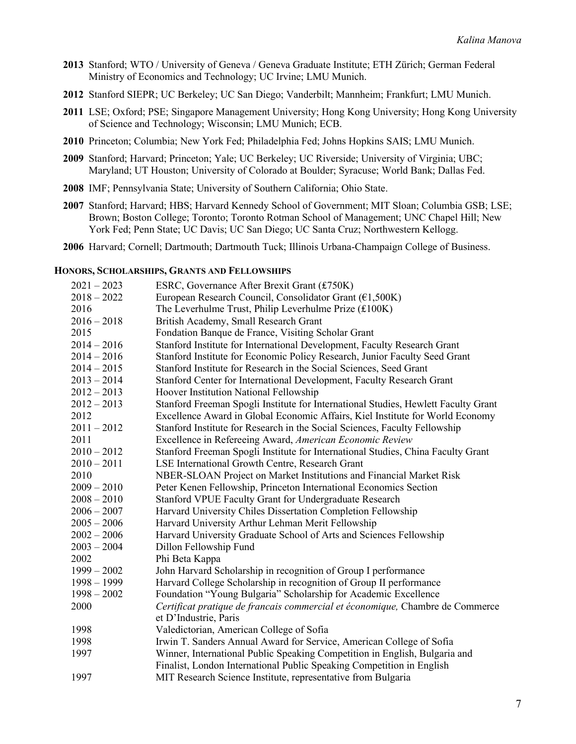- **2013** Stanford; WTO / University of Geneva / Geneva Graduate Institute; ETH Zürich; German Federal Ministry of Economics and Technology; UC Irvine; LMU Munich.
- **2012** Stanford SIEPR; UC Berkeley; UC San Diego; Vanderbilt; Mannheim; Frankfurt; LMU Munich.
- **2011** LSE; Oxford; PSE; Singapore Management University; Hong Kong University; Hong Kong University of Science and Technology; Wisconsin; LMU Munich; ECB.
- **2010** Princeton; Columbia; New York Fed; Philadelphia Fed; Johns Hopkins SAIS; LMU Munich.
- **2009** Stanford; Harvard; Princeton; Yale; UC Berkeley; UC Riverside; University of Virginia; UBC; Maryland; UT Houston; University of Colorado at Boulder; Syracuse; World Bank; Dallas Fed.
- **2008** IMF; Pennsylvania State; University of Southern California; Ohio State.
- **2007** Stanford; Harvard; HBS; Harvard Kennedy School of Government; MIT Sloan; Columbia GSB; LSE; Brown; Boston College; Toronto; Toronto Rotman School of Management; UNC Chapel Hill; New York Fed; Penn State; UC Davis; UC San Diego; UC Santa Cruz; Northwestern Kellogg.
- **2006** Harvard; Cornell; Dartmouth; Dartmouth Tuck; Illinois Urbana-Champaign College of Business.

### **HONORS, SCHOLARSHIPS, GRANTS AND FELLOWSHIPS**

| $2021 - 2023$ | ESRC, Governance After Brexit Grant (£750K)                                        |
|---------------|------------------------------------------------------------------------------------|
| $2018 - 2022$ | European Research Council, Consolidator Grant ( $E1,500K$ )                        |
| 2016          | The Leverhulme Trust, Philip Leverhulme Prize (£100K)                              |
| $2016 - 2018$ | British Academy, Small Research Grant                                              |
| 2015          | Fondation Banque de France, Visiting Scholar Grant                                 |
| $2014 - 2016$ | Stanford Institute for International Development, Faculty Research Grant           |
| $2014 - 2016$ | Stanford Institute for Economic Policy Research, Junior Faculty Seed Grant         |
| $2014 - 2015$ | Stanford Institute for Research in the Social Sciences, Seed Grant                 |
| $2013 - 2014$ | Stanford Center for International Development, Faculty Research Grant              |
| $2012 - 2013$ | Hoover Institution National Fellowship                                             |
| $2012 - 2013$ | Stanford Freeman Spogli Institute for International Studies, Hewlett Faculty Grant |
| 2012          | Excellence Award in Global Economic Affairs, Kiel Institute for World Economy      |
| $2011 - 2012$ | Stanford Institute for Research in the Social Sciences, Faculty Fellowship         |
| 2011          | Excellence in Refereeing Award, American Economic Review                           |
| $2010 - 2012$ | Stanford Freeman Spogli Institute for International Studies, China Faculty Grant   |
| $2010 - 2011$ | LSE International Growth Centre, Research Grant                                    |
| 2010          | NBER-SLOAN Project on Market Institutions and Financial Market Risk                |
| $2009 - 2010$ | Peter Kenen Fellowship, Princeton International Economics Section                  |
| $2008 - 2010$ | Stanford VPUE Faculty Grant for Undergraduate Research                             |
| $2006 - 2007$ | Harvard University Chiles Dissertation Completion Fellowship                       |
| $2005 - 2006$ | Harvard University Arthur Lehman Merit Fellowship                                  |
| $2002 - 2006$ | Harvard University Graduate School of Arts and Sciences Fellowship                 |
| $2003 - 2004$ | Dillon Fellowship Fund                                                             |
| 2002          | Phi Beta Kappa                                                                     |
| $1999 - 2002$ | John Harvard Scholarship in recognition of Group I performance                     |
| $1998 - 1999$ | Harvard College Scholarship in recognition of Group II performance                 |
| $1998 - 2002$ | Foundation "Young Bulgaria" Scholarship for Academic Excellence                    |
| 2000          | Certificat pratique de francais commercial et économique, Chambre de Commerce      |
|               | et D'Industrie, Paris                                                              |
| 1998          | Valedictorian, American College of Sofia                                           |
| 1998          | Irwin T. Sanders Annual Award for Service, American College of Sofia               |
| 1997          | Winner, International Public Speaking Competition in English, Bulgaria and         |
|               | Finalist, London International Public Speaking Competition in English              |
| 1997          | MIT Research Science Institute, representative from Bulgaria                       |